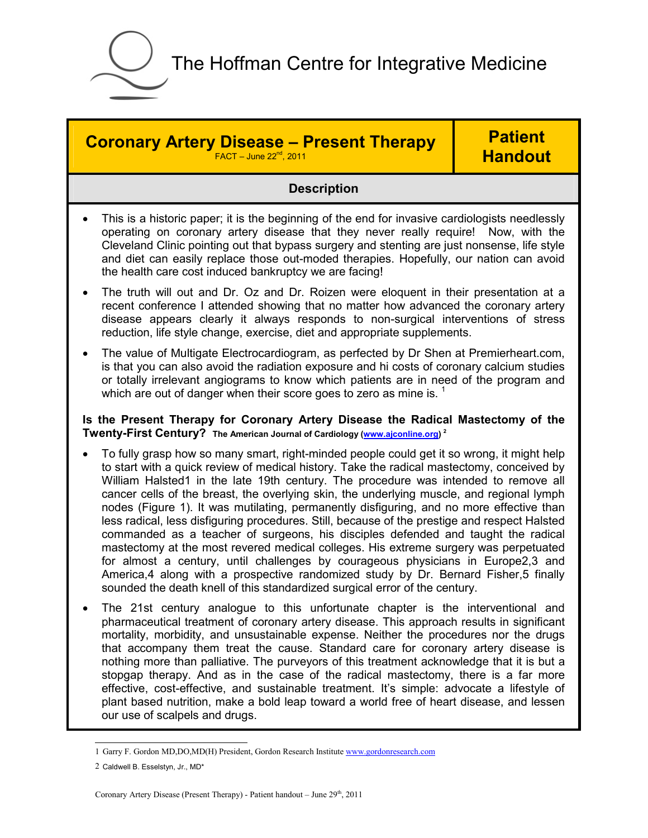

**Coronary Artery Disease – Present Therapy** 

 $FACT - June 22<sup>nd</sup>, 2011$ 

## **Patient Handout**

## **Description**

- This is a historic paper; it is the beginning of the end for invasive cardiologists needlessly operating on coronary artery disease that they never really require! Now, with the Cleveland Clinic pointing out that bypass surgery and stenting are just nonsense, life style and diet can easily replace those out-moded therapies. Hopefully, our nation can avoid the health care cost induced bankruptcy we are facing!
- The truth will out and Dr. Oz and Dr. Roizen were eloquent in their presentation at a recent conference I attended showing that no matter how advanced the coronary artery disease appears clearly it always responds to non-surgical interventions of stress reduction, life style change, exercise, diet and appropriate supplements.
- The value of Multigate Electrocardiogram, as perfected by Dr Shen at Premierheart.com, is that you can also avoid the radiation exposure and hi costs of coronary calcium studies or totally irrelevant angiograms to know which patients are in need of the program and which are out of danger when their score goes to zero as mine is.  $<sup>1</sup>$ </sup>

**Is the Present Therapy for Coronary Artery Disease the Radical Mastectomy of the Twenty-First Century? The American Journal of Cardiology (www.ajconline.org) <sup>2</sup>**

- To fully grasp how so many smart, right-minded people could get it so wrong, it might help to start with a quick review of medical history. Take the radical mastectomy, conceived by William Halsted1 in the late 19th century. The procedure was intended to remove all cancer cells of the breast, the overlying skin, the underlying muscle, and regional lymph nodes (Figure 1). It was mutilating, permanently disfiguring, and no more effective than less radical, less disfiguring procedures. Still, because of the prestige and respect Halsted commanded as a teacher of surgeons, his disciples defended and taught the radical mastectomy at the most revered medical colleges. His extreme surgery was perpetuated for almost a century, until challenges by courageous physicians in Europe2,3 and America,4 along with a prospective randomized study by Dr. Bernard Fisher,5 finally sounded the death knell of this standardized surgical error of the century.
- The 21st century analogue to this unfortunate chapter is the interventional and pharmaceutical treatment of coronary artery disease. This approach results in significant mortality, morbidity, and unsustainable expense. Neither the procedures nor the drugs that accompany them treat the cause. Standard care for coronary artery disease is nothing more than palliative. The purveyors of this treatment acknowledge that it is but a stopgap therapy. And as in the case of the radical mastectomy, there is a far more effective, cost-effective, and sustainable treatment. It's simple: advocate a lifestyle of plant based nutrition, make a bold leap toward a world free of heart disease, and lessen our use of scalpels and drugs.

<sup>1</sup> Garry F. Gordon MD,DO,MD(H) President, Gordon Research Institute www.gordonresearch.com

<sup>2</sup> Caldwell B. Esselstyn, Jr., MD\*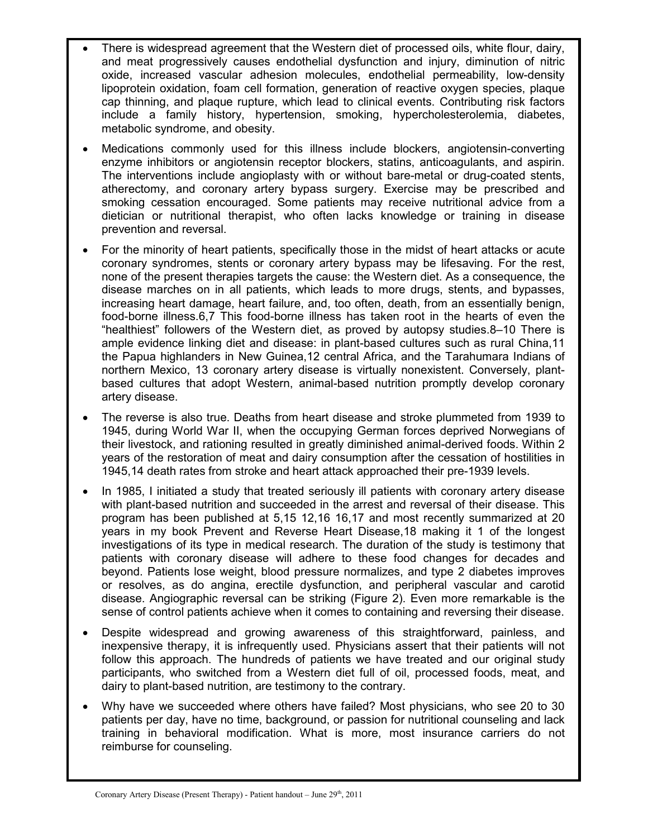- There is widespread agreement that the Western diet of processed oils, white flour, dairy, and meat progressively causes endothelial dysfunction and injury, diminution of nitric oxide, increased vascular adhesion molecules, endothelial permeability, low-density lipoprotein oxidation, foam cell formation, generation of reactive oxygen species, plaque cap thinning, and plaque rupture, which lead to clinical events. Contributing risk factors include a family history, hypertension, smoking, hypercholesterolemia, diabetes, metabolic syndrome, and obesity.
- Medications commonly used for this illness include blockers, angiotensin-converting enzyme inhibitors or angiotensin receptor blockers, statins, anticoagulants, and aspirin. The interventions include angioplasty with or without bare-metal or drug-coated stents, atherectomy, and coronary artery bypass surgery. Exercise may be prescribed and smoking cessation encouraged. Some patients may receive nutritional advice from a dietician or nutritional therapist, who often lacks knowledge or training in disease prevention and reversal.
- For the minority of heart patients, specifically those in the midst of heart attacks or acute coronary syndromes, stents or coronary artery bypass may be lifesaving. For the rest, none of the present therapies targets the cause: the Western diet. As a consequence, the disease marches on in all patients, which leads to more drugs, stents, and bypasses, increasing heart damage, heart failure, and, too often, death, from an essentially benign, food-borne illness.6,7 This food-borne illness has taken root in the hearts of even the "healthiest" followers of the Western diet, as proved by autopsy studies.8–10 There is ample evidence linking diet and disease: in plant-based cultures such as rural China,11 the Papua highlanders in New Guinea,12 central Africa, and the Tarahumara Indians of northern Mexico, 13 coronary artery disease is virtually nonexistent. Conversely, plantbased cultures that adopt Western, animal-based nutrition promptly develop coronary artery disease.
- The reverse is also true. Deaths from heart disease and stroke plummeted from 1939 to 1945, during World War II, when the occupying German forces deprived Norwegians of their livestock, and rationing resulted in greatly diminished animal-derived foods. Within 2 years of the restoration of meat and dairy consumption after the cessation of hostilities in 1945,14 death rates from stroke and heart attack approached their pre-1939 levels.
- In 1985, I initiated a study that treated seriously ill patients with coronary artery disease with plant-based nutrition and succeeded in the arrest and reversal of their disease. This program has been published at 5,15 12,16 16,17 and most recently summarized at 20 years in my book Prevent and Reverse Heart Disease,18 making it 1 of the longest investigations of its type in medical research. The duration of the study is testimony that patients with coronary disease will adhere to these food changes for decades and beyond. Patients lose weight, blood pressure normalizes, and type 2 diabetes improves or resolves, as do angina, erectile dysfunction, and peripheral vascular and carotid disease. Angiographic reversal can be striking (Figure 2). Even more remarkable is the sense of control patients achieve when it comes to containing and reversing their disease.
- Despite widespread and growing awareness of this straightforward, painless, and inexpensive therapy, it is infrequently used. Physicians assert that their patients will not follow this approach. The hundreds of patients we have treated and our original study participants, who switched from a Western diet full of oil, processed foods, meat, and dairy to plant-based nutrition, are testimony to the contrary.
- Why have we succeeded where others have failed? Most physicians, who see 20 to 30 patients per day, have no time, background, or passion for nutritional counseling and lack training in behavioral modification. What is more, most insurance carriers do not reimburse for counseling.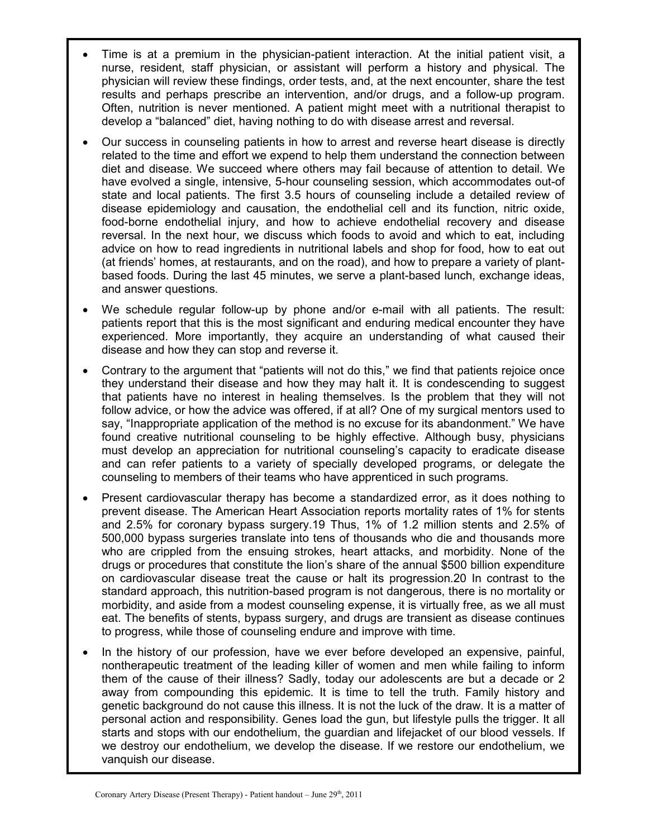- Time is at a premium in the physician-patient interaction. At the initial patient visit, a nurse, resident, staff physician, or assistant will perform a history and physical. The physician will review these findings, order tests, and, at the next encounter, share the test results and perhaps prescribe an intervention, and/or drugs, and a follow-up program. Often, nutrition is never mentioned. A patient might meet with a nutritional therapist to develop a "balanced" diet, having nothing to do with disease arrest and reversal.
- Our success in counseling patients in how to arrest and reverse heart disease is directly related to the time and effort we expend to help them understand the connection between diet and disease. We succeed where others may fail because of attention to detail. We have evolved a single, intensive, 5-hour counseling session, which accommodates out-of state and local patients. The first 3.5 hours of counseling include a detailed review of disease epidemiology and causation, the endothelial cell and its function, nitric oxide, food-borne endothelial injury, and how to achieve endothelial recovery and disease reversal. In the next hour, we discuss which foods to avoid and which to eat, including advice on how to read ingredients in nutritional labels and shop for food, how to eat out (at friends' homes, at restaurants, and on the road), and how to prepare a variety of plantbased foods. During the last 45 minutes, we serve a plant-based lunch, exchange ideas, and answer questions.
- We schedule regular follow-up by phone and/or e-mail with all patients. The result: patients report that this is the most significant and enduring medical encounter they have experienced. More importantly, they acquire an understanding of what caused their disease and how they can stop and reverse it.
- Contrary to the argument that "patients will not do this," we find that patients rejoice once they understand their disease and how they may halt it. It is condescending to suggest that patients have no interest in healing themselves. Is the problem that they will not follow advice, or how the advice was offered, if at all? One of my surgical mentors used to say, "Inappropriate application of the method is no excuse for its abandonment." We have found creative nutritional counseling to be highly effective. Although busy, physicians must develop an appreciation for nutritional counseling's capacity to eradicate disease and can refer patients to a variety of specially developed programs, or delegate the counseling to members of their teams who have apprenticed in such programs.
- Present cardiovascular therapy has become a standardized error, as it does nothing to prevent disease. The American Heart Association reports mortality rates of 1% for stents and 2.5% for coronary bypass surgery.19 Thus, 1% of 1.2 million stents and 2.5% of 500,000 bypass surgeries translate into tens of thousands who die and thousands more who are crippled from the ensuing strokes, heart attacks, and morbidity. None of the drugs or procedures that constitute the lion's share of the annual \$500 billion expenditure on cardiovascular disease treat the cause or halt its progression.20 In contrast to the standard approach, this nutrition-based program is not dangerous, there is no mortality or morbidity, and aside from a modest counseling expense, it is virtually free, as we all must eat. The benefits of stents, bypass surgery, and drugs are transient as disease continues to progress, while those of counseling endure and improve with time.
- In the history of our profession, have we ever before developed an expensive, painful, nontherapeutic treatment of the leading killer of women and men while failing to inform them of the cause of their illness? Sadly, today our adolescents are but a decade or 2 away from compounding this epidemic. It is time to tell the truth. Family history and genetic background do not cause this illness. It is not the luck of the draw. It is a matter of personal action and responsibility. Genes load the gun, but lifestyle pulls the trigger. It all starts and stops with our endothelium, the guardian and lifejacket of our blood vessels. If we destroy our endothelium, we develop the disease. If we restore our endothelium, we vanquish our disease.